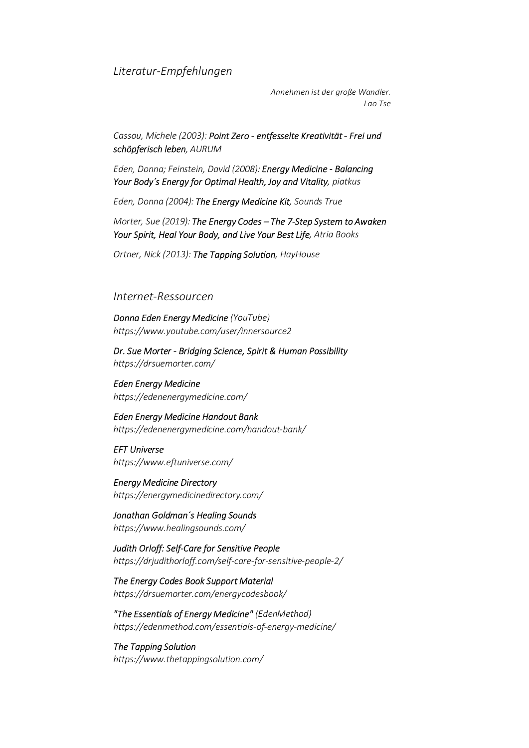## *Literatur-Empfehlungen*

*Annehmen ist der große Wandler. Lao Tse*

*Cassou, Michele (2003): Point Zero - entfesselte Kreativität - Frei und schöpferisch leben, AURUM*

*Eden, Donna; Feinstein, David (2008): Energy Medicine - Balancing Your Body´s Energy for Optimal Health, Joy and Vitality, piatkus*

*Eden, Donna (2004): The Energy Medicine Kit, Sounds True* 

*Morter, Sue (2019): The Energy Codes – The 7-Step System to Awaken Your Spirit, Heal Your Body, and Live Your Best Life, Atria Books*

*Ortner, Nick (2013): The Tapping Solution, HayHouse*

## *Internet-Ressourcen*

*Donna Eden Energy Medicine (YouTube) https://www.youtube.com/user/innersource2*

*Dr. Sue Morter - Bridging Science, Spirit & Human Possibility https://drsuemorter.com/*

*Eden Energy Medicine https://edenenergymedicine.com/*

*Eden Energy Medicine Handout Bank https://edenenergymedicine.com/handout-bank/*

*EFT Universe https://www.eftuniverse.com/*

*Energy Medicine Directory https://energymedicinedirectory.com/*

*Jonathan Goldman´s Healing Sounds https://www.healingsounds.com/*

*Judith Orloff: Self-Care for Sensitive People https://drjudithorloff.com/self-care-for-sensitive-people-2/*

*The Energy Codes Book Support Material https://drsuemorter.com/energycodesbook/*

*"The Essentials of Energy Medicine" (EdenMethod) https://edenmethod.com/essentials-of-energy-medicine/*

*The Tapping Solution https://www.thetappingsolution.com/*